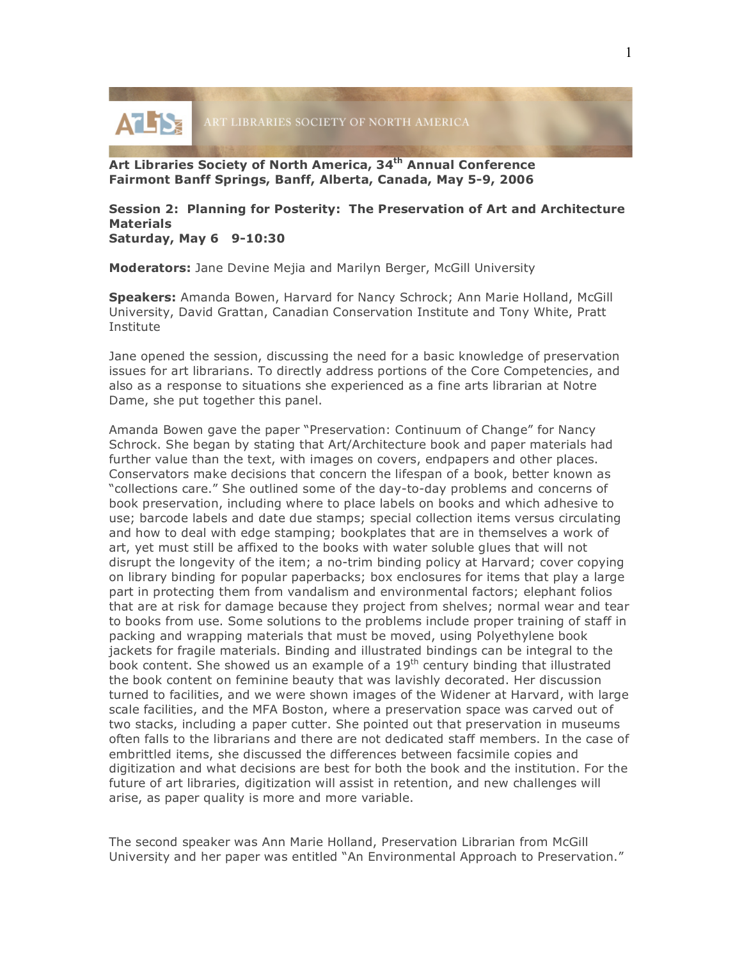

**Art Libraries Society of North America, 34th Annual Conference Fairmont Banff Springs, Banff, Alberta, Canada, May 5-9, 2006**

## **Session 2: Planning for Posterity: The Preservation of Art and Architecture Materials Saturday, May 6 9-10:30**

**Moderators:** Jane Devine Mejia and Marilyn Berger, McGill University

**Speakers:** Amanda Bowen, Harvard for Nancy Schrock; Ann Marie Holland, McGill University, David Grattan, Canadian Conservation Institute and Tony White, Pratt Institute

Jane opened the session, discussing the need for a basic knowledge of preservation issues for art librarians. To directly address portions of the Core Competencies, and also as a response to situations she experienced as a fine arts librarian at Notre Dame, she put together this panel.

Amanda Bowen gave the paper "Preservation: Continuum of Change" for Nancy Schrock. She began by stating that Art/Architecture book and paper materials had further value than the text, with images on covers, endpapers and other places. Conservators make decisions that concern the lifespan of a book, better known as "collections care." She outlined some of the day-to-day problems and concerns of book preservation, including where to place labels on books and which adhesive to use; barcode labels and date due stamps; special collection items versus circulating and how to deal with edge stamping; bookplates that are in themselves a work of art, yet must still be affixed to the books with water soluble glues that will not disrupt the longevity of the item; a no-trim binding policy at Harvard; cover copying on library binding for popular paperbacks; box enclosures for items that play a large part in protecting them from vandalism and environmental factors; elephant folios that are at risk for damage because they project from shelves; normal wear and tear to books from use. Some solutions to the problems include proper training of staff in packing and wrapping materials that must be moved, using Polyethylene book jackets for fragile materials. Binding and illustrated bindings can be integral to the book content. She showed us an example of a  $19<sup>th</sup>$  century binding that illustrated the book content on feminine beauty that was lavishly decorated. Her discussion turned to facilities, and we were shown images of the Widener at Harvard, with large scale facilities, and the MFA Boston, where a preservation space was carved out of two stacks, including a paper cutter. She pointed out that preservation in museums often falls to the librarians and there are not dedicated staff members. In the case of embrittled items, she discussed the differences between facsimile copies and digitization and what decisions are best for both the book and the institution. For the future of art libraries, digitization will assist in retention, and new challenges will arise, as paper quality is more and more variable.

The second speaker was Ann Marie Holland, Preservation Librarian from McGill University and her paper was entitled "An Environmental Approach to Preservation."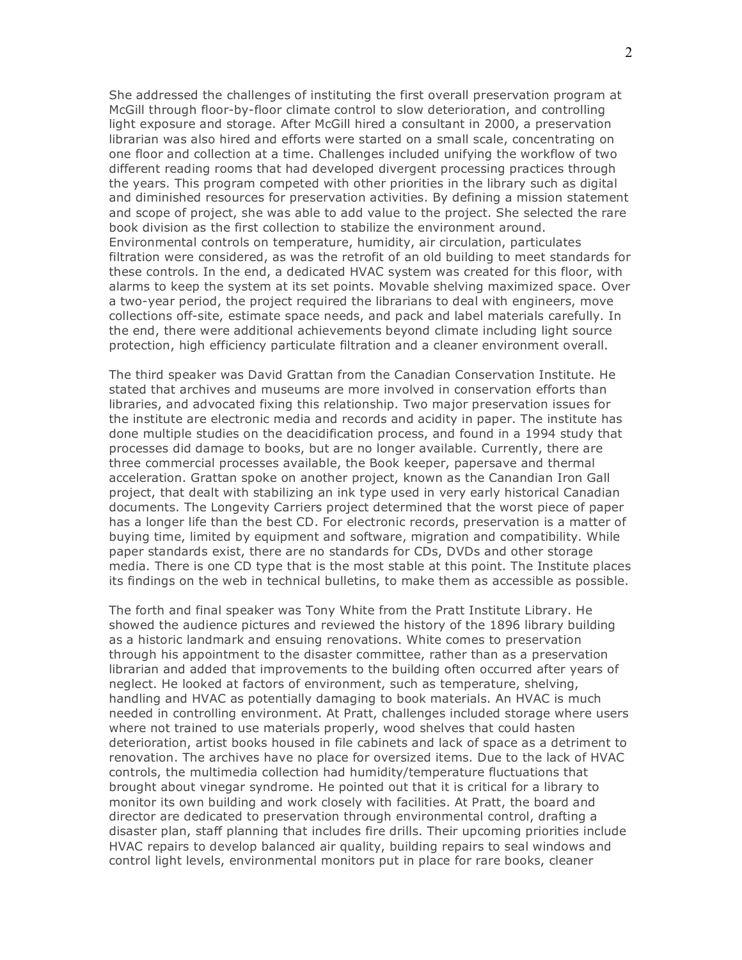She addressed the challenges of instituting the first overall preservation program at McGill through floor-by-floor climate control to slow deterioration, and controlling light exposure and storage. After McGill hired a consultant in 2000, a preservation librarian was also hired and efforts were started on a small scale, concentrating on one floor and collection at a time. Challenges included unifying the workflow of two different reading rooms that had developed divergent processing practices through the years. This program competed with other priorities in the library such as digital and diminished resources for preservation activities. By defining a mission statement and scope of project, she was able to add value to the project. She selected the rare book division as the first collection to stabilize the environment around. Environmental controls on temperature, humidity, air circulation, particulates filtration were considered, as was the retrofit of an old building to meet standards for these controls. In the end, a dedicated HVAC system was created for this floor, with alarms to keep the system at its set points. Movable shelving maximized space. Over a two-year period, the project required the librarians to deal with engineers, move collections off-site, estimate space needs, and pack and label materials carefully. In the end, there were additional achievements beyond climate including light source protection, high efficiency particulate filtration and a cleaner environment overall.

The third speaker was David Grattan from the Canadian Conservation Institute. He stated that archives and museums are more involved in conservation efforts than libraries, and advocated fixing this relationship. Two major preservation issues for the institute are electronic media and records and acidity in paper. The institute has done multiple studies on the deacidification process, and found in a 1994 study that processes did damage to books, but are no longer available. Currently, there are three commercial processes available, the Book keeper, papersave and thermal acceleration. Grattan spoke on another project, known as the Canandian Iron Gall project, that dealt with stabilizing an ink type used in very early historical Canadian documents. The Longevity Carriers project determined that the worst piece of paper has a longer life than the best CD. For electronic records, preservation is a matter of buying time, limited by equipment and software, migration and compatibility. While paper standards exist, there are no standards for CDs, DVDs and other storage media. There is one CD type that is the most stable at this point. The Institute places its findings on the web in technical bulletins, to make them as accessible as possible.

The forth and final speaker was Tony White from the Pratt Institute Library. He showed the audience pictures and reviewed the history of the 1896 library building as a historic landmark and ensuing renovations. White comes to preservation through his appointment to the disaster committee, rather than as a preservation librarian and added that improvements to the building often occurred after years of neglect. He looked at factors of environment, such as temperature, shelving, handling and HVAC as potentially damaging to book materials. An HVAC is much needed in controlling environment. At Pratt, challenges included storage where users where not trained to use materials properly, wood shelves that could hasten deterioration, artist books housed in file cabinets and lack of space as a detriment to renovation. The archives have no place for oversized items. Due to the lack of HVAC controls, the multimedia collection had humidity/temperature fluctuations that brought about vinegar syndrome. He pointed out that it is critical for a library to monitor its own building and work closely with facilities. At Pratt, the board and director are dedicated to preservation through environmental control, drafting a disaster plan, staff planning that includes fire drills. Their upcoming priorities include HVAC repairs to develop balanced air quality, building repairs to seal windows and control light levels, environmental monitors put in place for rare books, cleaner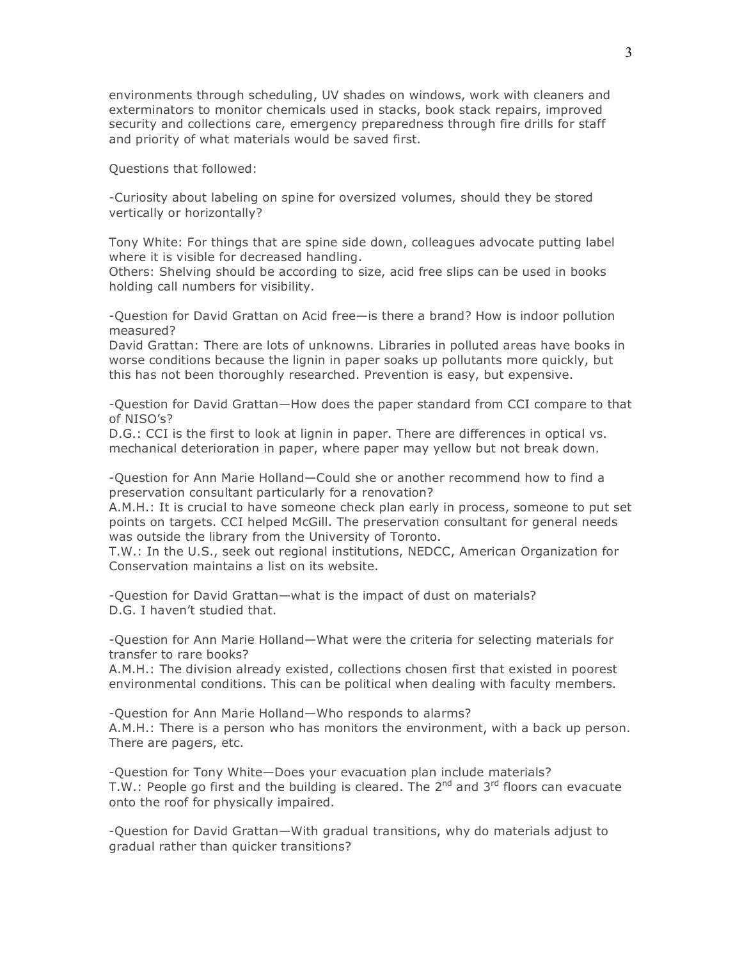environments through scheduling, UV shades on windows, work with cleaners and exterminators to monitor chemicals used in stacks, book stack repairs, improved security and collections care, emergency preparedness through fire drills for staff and priority of what materials would be saved first.

Questions that followed:

-Curiosity about labeling on spine for oversized volumes, should they be stored vertically or horizontally?

Tony White: For things that are spine side down, colleagues advocate putting label where it is visible for decreased handling.

Others: Shelving should be according to size, acid free slips can be used in books holding call numbers for visibility.

-Question for David Grattan on Acid free—is there a brand? How is indoor pollution measured?

David Grattan: There are lots of unknowns. Libraries in polluted areas have books in worse conditions because the lignin in paper soaks up pollutants more quickly, but this has not been thoroughly researched. Prevention is easy, but expensive.

-Question for David Grattan—How does the paper standard from CCI compare to that of NISO's?

D.G.: CCI is the first to look at lignin in paper. There are differences in optical vs. mechanical deterioration in paper, where paper may yellow but not break down.

-Question for Ann Marie Holland—Could she or another recommend how to find a preservation consultant particularly for a renovation?

A.M.H.: It is crucial to have someone check plan early in process, someone to put set points on targets. CCI helped McGill. The preservation consultant for general needs was outside the library from the University of Toronto.

T.W.: In the U.S., seek out regional institutions, NEDCC, American Organization for Conservation maintains a list on its website.

-Question for David Grattan—what is the impact of dust on materials? D.G. I haven't studied that.

-Question for Ann Marie Holland—What were the criteria for selecting materials for transfer to rare books?

A.M.H.: The division already existed, collections chosen first that existed in poorest environmental conditions. This can be political when dealing with faculty members.

-Question for Ann Marie Holland—Who responds to alarms? A.M.H.: There is a person who has monitors the environment, with a back up person. There are pagers, etc.

-Question for Tony White—Does your evacuation plan include materials? T.W.: People go first and the building is cleared. The  $2^{nd}$  and  $3^{rd}$  floors can evacuate onto the roof for physically impaired.

-Question for David Grattan—With gradual transitions, why do materials adjust to gradual rather than quicker transitions?